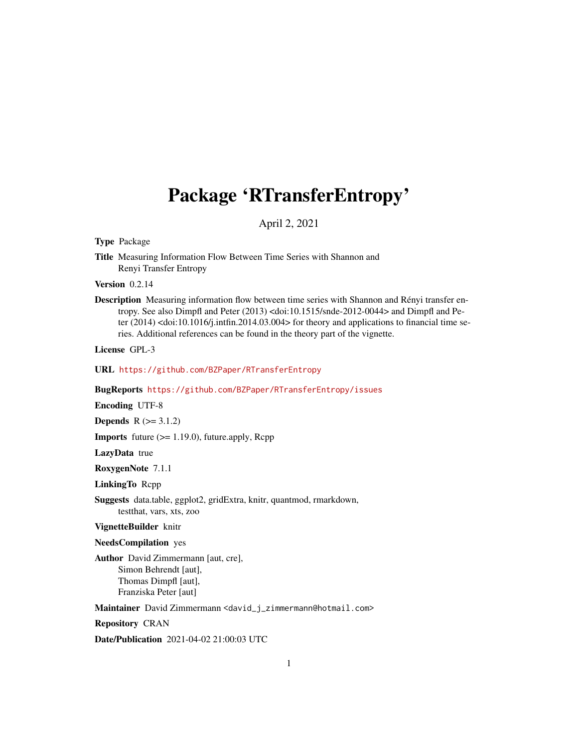# <span id="page-0-0"></span>Package 'RTransferEntropy'

April 2, 2021

Type Package

Title Measuring Information Flow Between Time Series with Shannon and Renyi Transfer Entropy

Version 0.2.14

Description Measuring information flow between time series with Shannon and Rényi transfer entropy. See also Dimpfl and Peter (2013) <doi:10.1515/snde-2012-0044> and Dimpfl and Peter (2014) <doi:10.1016/j.intfin.2014.03.004> for theory and applications to financial time series. Additional references can be found in the theory part of the vignette.

License GPL-3

URL <https://github.com/BZPaper/RTransferEntropy>

BugReports <https://github.com/BZPaper/RTransferEntropy/issues>

Encoding UTF-8

**Depends**  $R$  ( $>= 3.1.2$ )

**Imports** future  $(>= 1.19.0)$ , future.apply, Rcpp

LazyData true

RoxygenNote 7.1.1

LinkingTo Rcpp

Suggests data.table, ggplot2, gridExtra, knitr, quantmod, rmarkdown, testthat, vars, xts, zoo

VignetteBuilder knitr

NeedsCompilation yes

Author David Zimmermann [aut, cre], Simon Behrendt [aut], Thomas Dimpfl [aut], Franziska Peter [aut]

Maintainer David Zimmermann <david\_j\_zimmermann@hotmail.com>

Repository CRAN

Date/Publication 2021-04-02 21:00:03 UTC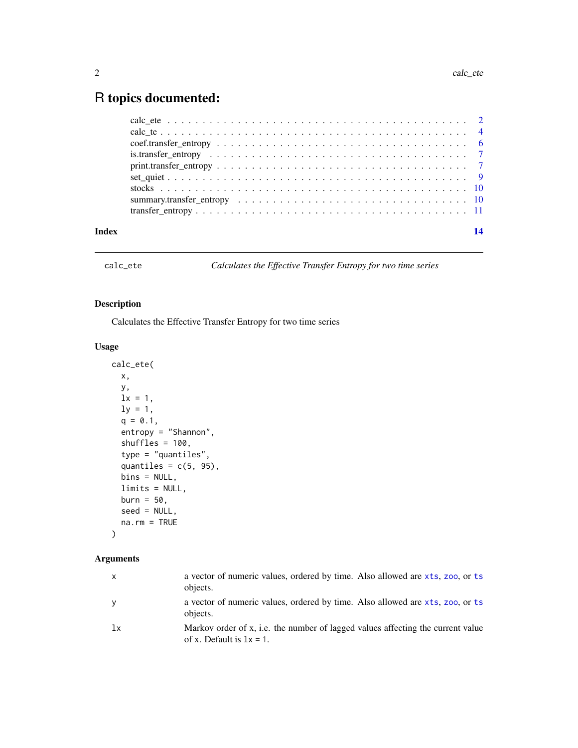## <span id="page-1-0"></span>R topics documented:

| Index |                                                                                                                                        |  |  |  |  |  |  |  |  |  |  |  |  |  |  |  | 14 |
|-------|----------------------------------------------------------------------------------------------------------------------------------------|--|--|--|--|--|--|--|--|--|--|--|--|--|--|--|----|
|       |                                                                                                                                        |  |  |  |  |  |  |  |  |  |  |  |  |  |  |  |    |
|       |                                                                                                                                        |  |  |  |  |  |  |  |  |  |  |  |  |  |  |  |    |
|       |                                                                                                                                        |  |  |  |  |  |  |  |  |  |  |  |  |  |  |  |    |
|       |                                                                                                                                        |  |  |  |  |  |  |  |  |  |  |  |  |  |  |  |    |
|       |                                                                                                                                        |  |  |  |  |  |  |  |  |  |  |  |  |  |  |  |    |
|       |                                                                                                                                        |  |  |  |  |  |  |  |  |  |  |  |  |  |  |  |    |
|       | $\text{coef}.\text{transfer\_entropy} \dots \dots \dots \dots \dots \dots \dots \dots \dots \dots \dots \dots \dots \dots \dots \dots$ |  |  |  |  |  |  |  |  |  |  |  |  |  |  |  |    |
|       |                                                                                                                                        |  |  |  |  |  |  |  |  |  |  |  |  |  |  |  |    |
|       |                                                                                                                                        |  |  |  |  |  |  |  |  |  |  |  |  |  |  |  |    |

<span id="page-1-1"></span>calc\_ete *Calculates the Effective Transfer Entropy for two time series*

#### Description

Calculates the Effective Transfer Entropy for two time series

#### Usage

```
calc_ete(
 x,
 y,
 lx = 1,ly = 1,q = 0.1,
 entropy = "Shannon",
  shuffles = 100,
  type = "quantiles",
  quantiles = c(5, 95),
 bins = NULL,
 limits = NULL,
 burn = 50,
 seed = NULL,
 na.rm = TRUE
)
```
#### Arguments

| $\mathsf{x}$ | a vector of numeric values, ordered by time. Also allowed are xts, zoo, or ts<br>objects.                      |
|--------------|----------------------------------------------------------------------------------------------------------------|
| y            | a vector of numeric values, ordered by time. Also allowed are xts, zoo, or ts<br>objects.                      |
| 1x           | Markov order of x, i.e. the number of lagged values affecting the current value<br>of x. Default is $1x = 1$ . |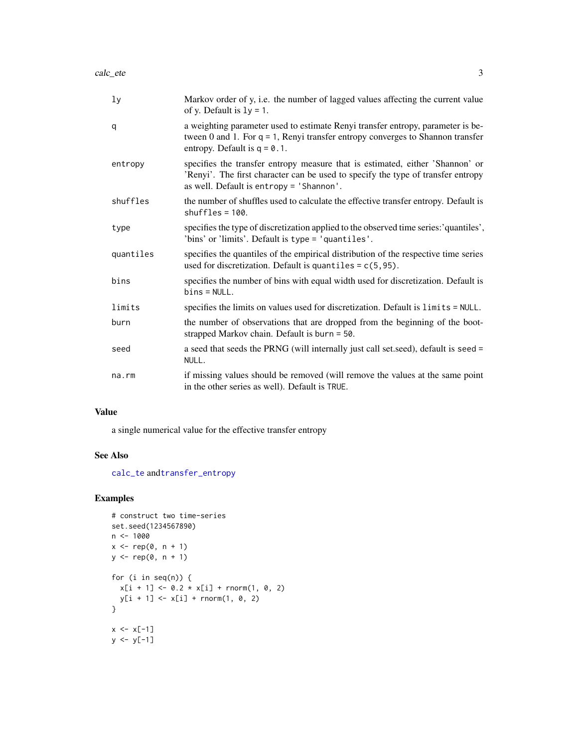<span id="page-2-0"></span>

| 1 <sub>y</sub> | Markov order of y, i.e. the number of lagged values affecting the current value<br>of y. Default is $1y = 1$ .                                                                                                |
|----------------|---------------------------------------------------------------------------------------------------------------------------------------------------------------------------------------------------------------|
| q              | a weighting parameter used to estimate Renyi transfer entropy, parameter is be-<br>tween 0 and 1. For $q = 1$ , Renyi transfer entropy converges to Shannon transfer<br>entropy. Default is $q = 0.1$ .       |
| entropy        | specifies the transfer entropy measure that is estimated, either 'Shannon' or<br>'Renyi'. The first character can be used to specify the type of transfer entropy<br>as well. Default is entropy = 'Shannon'. |
| shuffles       | the number of shuffles used to calculate the effective transfer entropy. Default is<br>$shuffles = 100.$                                                                                                      |
| type           | specifies the type of discretization applied to the observed time series: 'quantiles',<br>'bins' or 'limits'. Default is type = 'quantiles'.                                                                  |
| quantiles      | specifies the quantiles of the empirical distribution of the respective time series<br>used for discretization. Default is quantiles = $c(5, 95)$ .                                                           |
| bins           | specifies the number of bins with equal width used for discretization. Default is<br>$bins = NULL.$                                                                                                           |
| limits         | specifies the limits on values used for discretization. Default is limits = NULL.                                                                                                                             |
| burn           | the number of observations that are dropped from the beginning of the boot-<br>strapped Markov chain. Default is burn = 50.                                                                                   |
| seed           | a seed that seeds the PRNG (will internally just call set seed), default is seed =<br>NULL.                                                                                                                   |
| na.rm          | if missing values should be removed (will remove the values at the same point<br>in the other series as well). Default is TRUE.                                                                               |

#### Value

a single numerical value for the effective transfer entropy

#### See Also

[calc\\_te](#page-3-1) and[transfer\\_entropy](#page-10-1)

```
# construct two time-series
set.seed(1234567890)
n <- 1000
x \leq -\operatorname{rep}(\emptyset, n + 1)y <- rep(0, n + 1)
for (i in seq(n)) {
  x[i + 1] \le 0.2 \times x[i] + \text{norm}(1, 0, 2)y[i + 1] < -x[i] + \text{norm}(1, 0, 2)}
x \le -x[-1]y \le y[-1]
```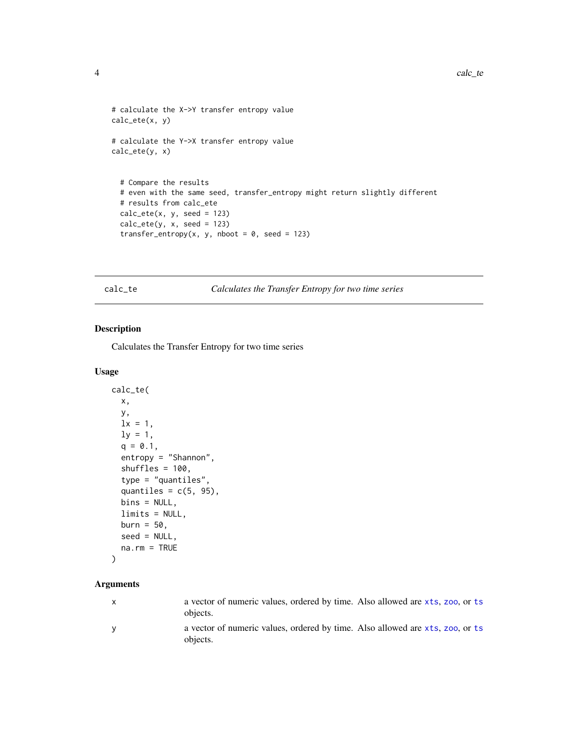```
# calculate the X->Y transfer entropy value
calc_ete(x, y)
# calculate the Y->X transfer entropy value
calc_ete(y, x)
  # Compare the results
  # even with the same seed, transfer_entropy might return slightly different
  # results from calc_ete
  calc\_ete(x, y, seed = 123)calc\_ete(y, x, seed = 123)transfer_entropy(x, y, nboot = 0, seed = 123)
```
<span id="page-3-1"></span>calc\_te *Calculates the Transfer Entropy for two time series*

#### Description

Calculates the Transfer Entropy for two time series

#### Usage

```
calc_te(
  x,
  y,
  lx = 1,ly = 1,q = 0.1,
  entropy = "Shannon",
  shuffles = 100,
  type = "quantiles",
  quantiles = c(5, 95),
 bins = NULL,
 limits = NULL,
 burn = 50,
  seed = NULL,
 na.rm = TRUE
```

```
)
```
### Arguments

| a vector of numeric values, ordered by time. Also allowed are xts, zoo, or ts<br>objects. |
|-------------------------------------------------------------------------------------------|
| a vector of numeric values, ordered by time. Also allowed are xts, zoo, or ts<br>objects. |

<span id="page-3-0"></span>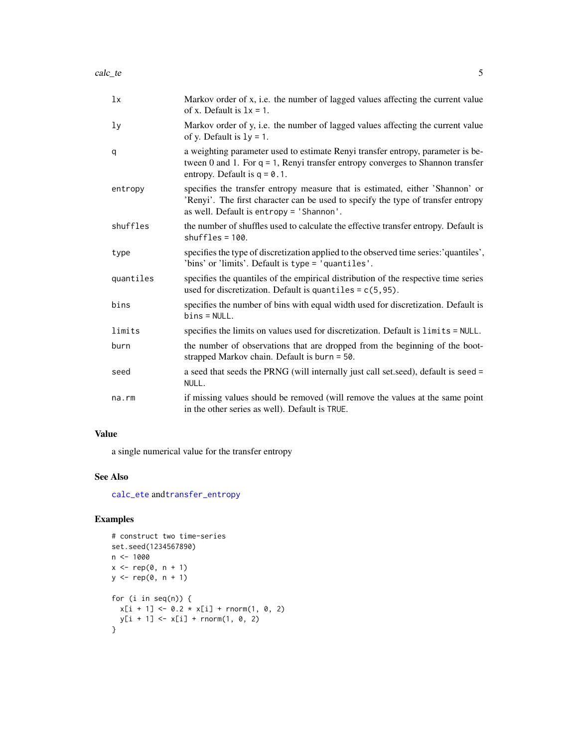<span id="page-4-0"></span>

| 1x             | Markov order of x, i.e. the number of lagged values affecting the current value<br>of x. Default is $1x = 1$ .                                                                                                |
|----------------|---------------------------------------------------------------------------------------------------------------------------------------------------------------------------------------------------------------|
| 1 <sub>y</sub> | Markov order of y, i.e. the number of lagged values affecting the current value<br>of y. Default is $1y = 1$ .                                                                                                |
| q              | a weighting parameter used to estimate Renyi transfer entropy, parameter is be-<br>tween 0 and 1. For $q = 1$ , Renyi transfer entropy converges to Shannon transfer<br>entropy. Default is $q = 0.1$ .       |
| entropy        | specifies the transfer entropy measure that is estimated, either 'Shannon' or<br>'Renyi'. The first character can be used to specify the type of transfer entropy<br>as well. Default is entropy = 'Shannon'. |
| shuffles       | the number of shuffles used to calculate the effective transfer entropy. Default is<br>$shuffles = 100$ .                                                                                                     |
| type           | specifies the type of discretization applied to the observed time series:'quantiles',<br>'bins' or 'limits'. Default is type = 'quantiles'.                                                                   |
| quantiles      | specifies the quantiles of the empirical distribution of the respective time series<br>used for discretization. Default is quantiles = $c(5, 95)$ .                                                           |
| bins           | specifies the number of bins with equal width used for discretization. Default is<br>$bins = NULL.$                                                                                                           |
| limits         | specifies the limits on values used for discretization. Default is limits = NULL.                                                                                                                             |
| burn           | the number of observations that are dropped from the beginning of the boot-<br>strapped Markov chain. Default is burn = 50.                                                                                   |
| seed           | a seed that seeds the PRNG (will internally just call set seed), default is seed =<br>NULL.                                                                                                                   |
| na.rm          | if missing values should be removed (will remove the values at the same point<br>in the other series as well). Default is TRUE.                                                                               |

#### Value

a single numerical value for the transfer entropy

#### See Also

[calc\\_ete](#page-1-1) and[transfer\\_entropy](#page-10-1)

```
# construct two time-series
set.seed(1234567890)
n <- 1000
x \leq -\operatorname{rep}(\emptyset, n + 1)y \leftarrow rep(0, n + 1)for (i in seq(n)) {
  x[i + 1] \le 0.2 \times x[i] + \text{norm}(1, 0, 2)y[i + 1] < -x[i] + rnorm(1, 0, 2)}
```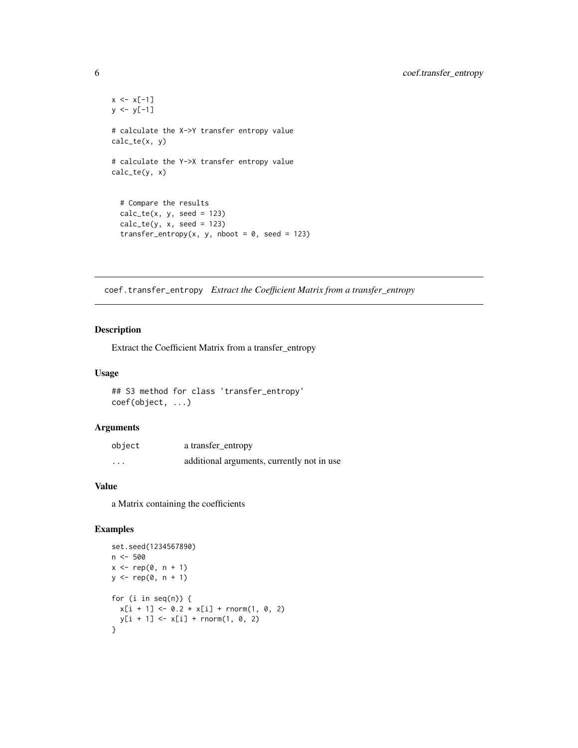```
x \le -x[-1]y \le y[-1]# calculate the X->Y transfer entropy value
calc_te(x, y)
# calculate the Y->X transfer entropy value
calc_te(y, x)
  # Compare the results
  calc_t(e(x, y, seed = 123)calc_t(y, x, seed = 123)transfer_entropy(x, y, nboot = 0, seed = 123)
```
coef.transfer\_entropy *Extract the Coefficient Matrix from a transfer\_entropy*

#### Description

Extract the Coefficient Matrix from a transfer\_entropy

#### Usage

## S3 method for class 'transfer\_entropy' coef(object, ...)

#### Arguments

| object  | a transfer_entropy                         |
|---------|--------------------------------------------|
| $\cdot$ | additional arguments, currently not in use |

#### Value

a Matrix containing the coefficients

```
set.seed(1234567890)
n <- 500
x \leftarrow rep(0, n + 1)y \leq - rep(0, n + 1)for (i in seq(n)) {
  x[i + 1] \le 0.2 \times x[i] + \text{norm}(1, 0, 2)y[i + 1] < -x[i] + \text{norm}(1, 0, 2)}
```
<span id="page-5-0"></span>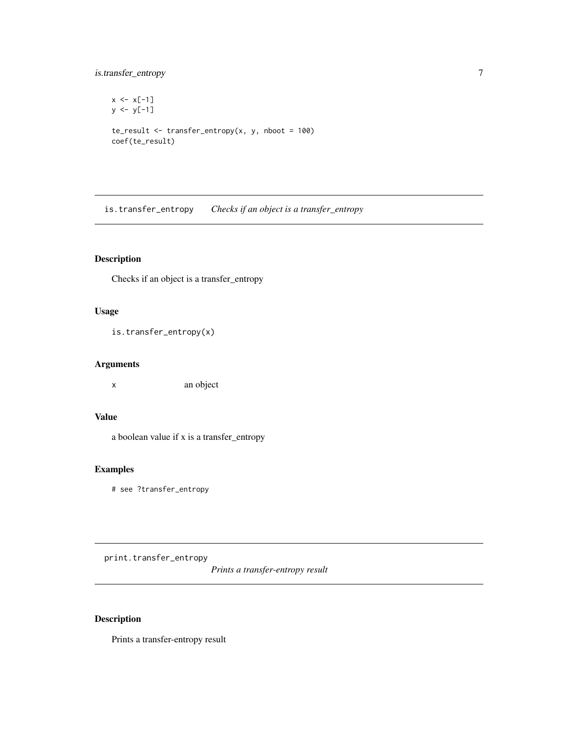#### <span id="page-6-0"></span>is.transfer\_entropy 7

```
x \le -x[-1]y <- y[-1]
te_result <- transfer_entropy(x, y, nboot = 100)
coef(te_result)
```
is.transfer\_entropy *Checks if an object is a transfer\_entropy*

#### Description

Checks if an object is a transfer\_entropy

#### Usage

is.transfer\_entropy(x)

#### Arguments

x an object

#### Value

a boolean value if x is a transfer\_entropy

#### Examples

# see ?transfer\_entropy

<span id="page-6-1"></span>print.transfer\_entropy

*Prints a transfer-entropy result*

#### Description

Prints a transfer-entropy result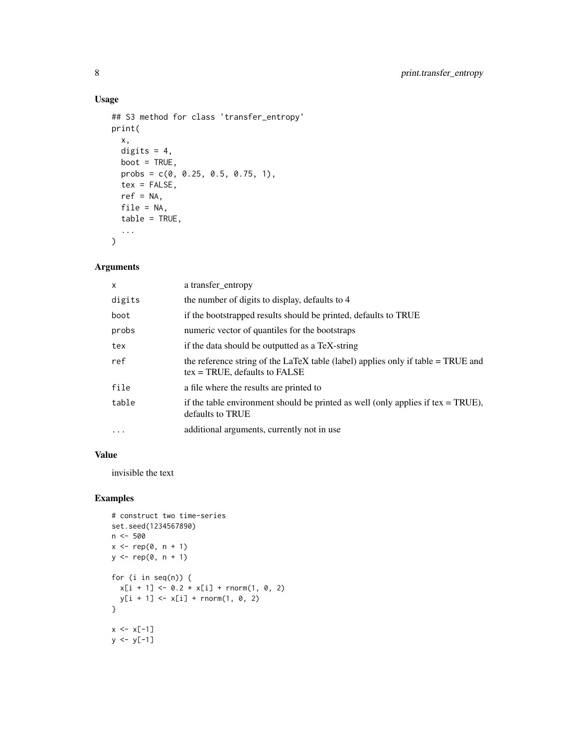#### Usage

```
## S3 method for class 'transfer_entropy'
print(
 x,
 digits = 4,
 boot = TRUE,
 probs = c(0, 0.25, 0.5, 0.75, 1),
  tex = FALSE,
 ref = NA,
 file = NA,
  table = TRUE,
  ...
\mathcal{L}
```
#### Arguments

| $\mathsf{x}$ | a transfer_entropy                                                                                                     |
|--------------|------------------------------------------------------------------------------------------------------------------------|
| digits       | the number of digits to display, defaults to 4                                                                         |
| boot         | if the bootstrapped results should be printed, defaults to TRUE                                                        |
| probs        | numeric vector of quantiles for the bootstraps                                                                         |
| tex          | if the data should be outputted as a TeX-string                                                                        |
| ref          | the reference string of the LaTeX table (label) applies only if table $=$ TRUE and<br>$tex = TRUE$ , defaults to FALSE |
| file         | a file where the results are printed to                                                                                |
| table        | if the table environment should be printed as well (only applies if tex $= TRUE$ ),<br>defaults to TRUE                |
| $\cdot$      | additional arguments, currently not in use                                                                             |

#### Value

invisible the text

```
# construct two time-series
set.seed(1234567890)
n <- 500
x \leftarrow rep(0, n + 1)y <- rep(0, n + 1)
for (i in seq(n)) {
  x[i + 1] \le 0.2 \times x[i] + \text{norm}(1, 0, 2)y[i + 1] < -x[i] + \text{norm}(1, 0, 2)}
x \leq x[-1]y \le y[-1]
```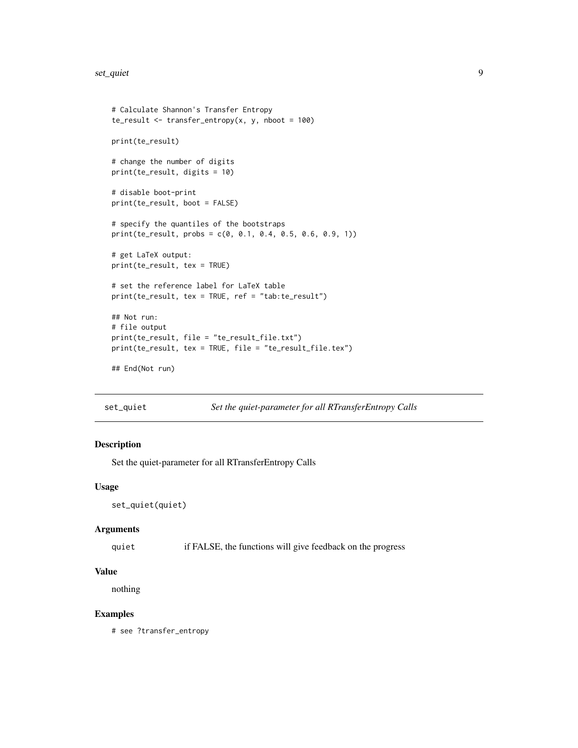```
# Calculate Shannon's Transfer Entropy
te\_result \leftarrow transfer\_entropy(x, y, nboot = 100)print(te_result)
# change the number of digits
print(te_result, digits = 10)
# disable boot-print
print(te_result, boot = FALSE)
# specify the quantiles of the bootstraps
print(te_result, probs = c(0, 0.1, 0.4, 0.5, 0.6, 0.9, 1))
# get LaTeX output:
print(te_result, tex = TRUE)
# set the reference label for LaTeX table
print(te_result, tex = TRUE, ref = "tab:te_result")
## Not run:
# file output
print(te_result, file = "te_result_file.txt")
print(te_result, tex = TRUE, file = "te_result_file.tex")
## End(Not run)
```

```
set_quiet Set the quiet-parameter for all RTransferEntropy Calls
```
#### Description

Set the quiet-parameter for all RTransferEntropy Calls

#### Usage

```
set_quiet(quiet)
```
#### Arguments

quiet if FALSE, the functions will give feedback on the progress

#### Value

nothing

#### Examples

# see ?transfer\_entropy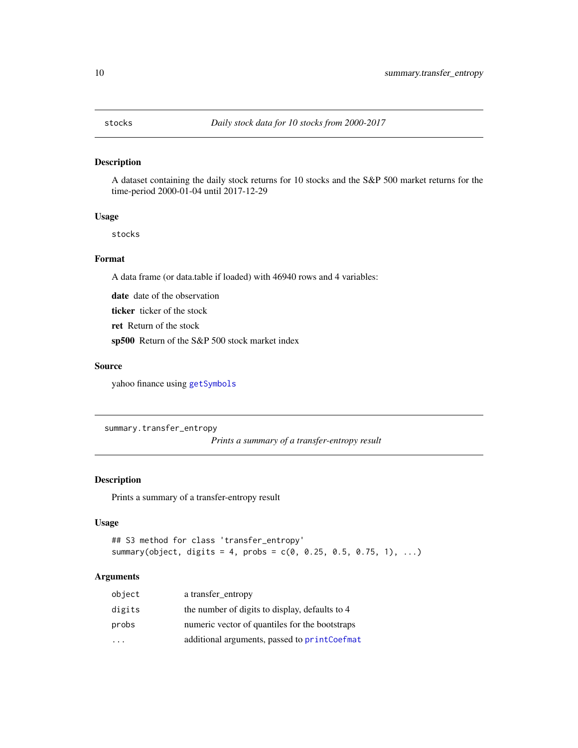#### <span id="page-9-0"></span>Description

A dataset containing the daily stock returns for 10 stocks and the S&P 500 market returns for the time-period 2000-01-04 until 2017-12-29

#### Usage

stocks

#### Format

A data frame (or data.table if loaded) with 46940 rows and 4 variables:

date date of the observation

ticker ticker of the stock

ret Return of the stock

sp500 Return of the S&P 500 stock market index

#### Source

yahoo finance using [getSymbols](#page-0-0)

summary.transfer\_entropy

*Prints a summary of a transfer-entropy result*

#### Description

Prints a summary of a transfer-entropy result

#### Usage

```
## S3 method for class 'transfer_entropy'
summary(object, digits = 4, probs = c(0, 0.25, 0.5, 0.75, 1), ...)
```
#### Arguments

| object                  | a transfer_entropy                             |
|-------------------------|------------------------------------------------|
| digits                  | the number of digits to display, defaults to 4 |
| probs                   | numeric vector of quantiles for the bootstraps |
| $\cdot$ $\cdot$ $\cdot$ | additional arguments, passed to printCoefmat   |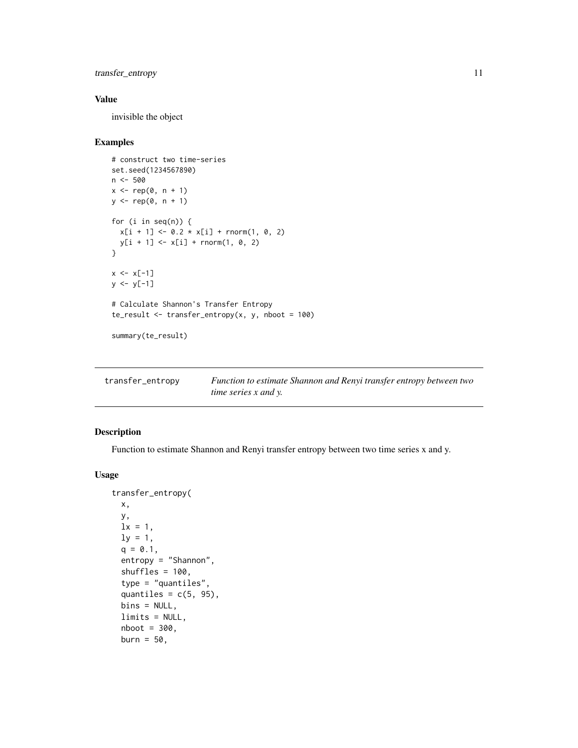<span id="page-10-0"></span>transfer\_entropy 11

#### Value

invisible the object

#### Examples

```
# construct two time-series
set.seed(1234567890)
n <- 500
x \leftarrow rep(0, n + 1)y \leftarrow rep(0, n + 1)for (i in seq(n)) {
  x[i + 1] \le 0.2 \times x[i] + \text{norm}(1, 0, 2)y[i + 1] < -x[i] + rnorm(1, 0, 2)}
x \le -x[-1]y \le y[-1]# Calculate Shannon's Transfer Entropy
te_result <- transfer_entropy(x, y, nboot = 100)
summary(te_result)
```
<span id="page-10-1"></span>

| transfer_entropy | Function to estimate Shannon and Renyi transfer entropy between two |
|------------------|---------------------------------------------------------------------|
|                  | <i>time series x and y.</i>                                         |

#### Description

Function to estimate Shannon and Renyi transfer entropy between two time series x and y.

#### Usage

```
transfer_entropy(
 x,
 y,
 lx = 1,ly = 1,q = 0.1,
 entropy = "Shannon",
  shuffles = 100,
  type = "quantiles",
  quantiles = c(5, 95),
 bins = NULL,
  limits = NULL,
  nboot = 300,burn = 50,
```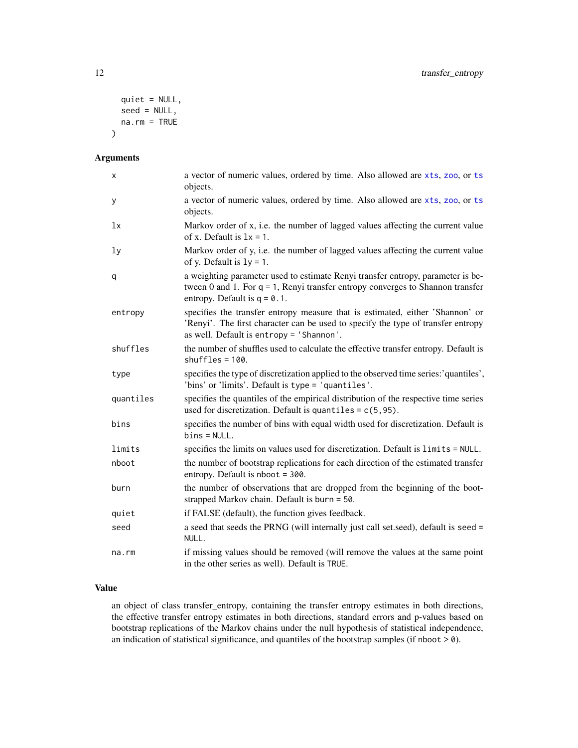```
quiet = NULL,
  seed = NULL,
 na.rm = TRUE
)
```
#### Arguments

| x              | a vector of numeric values, ordered by time. Also allowed are xts, zoo, or ts<br>objects.                                                                                                                     |
|----------------|---------------------------------------------------------------------------------------------------------------------------------------------------------------------------------------------------------------|
| У              | a vector of numeric values, ordered by time. Also allowed are xts, zoo, or ts<br>objects.                                                                                                                     |
| 1x             | Markov order of x, i.e. the number of lagged values affecting the current value<br>of x. Default is $1x = 1$ .                                                                                                |
| 1 <sub>V</sub> | Markov order of y, i.e. the number of lagged values affecting the current value<br>of y. Default is $1y = 1$ .                                                                                                |
| q              | a weighting parameter used to estimate Renyi transfer entropy, parameter is be-<br>tween 0 and 1. For $q = 1$ , Renyi transfer entropy converges to Shannon transfer<br>entropy. Default is $q = 0.1$ .       |
| entropy        | specifies the transfer entropy measure that is estimated, either 'Shannon' or<br>'Renyi'. The first character can be used to specify the type of transfer entropy<br>as well. Default is entropy = 'Shannon'. |
| shuffles       | the number of shuffles used to calculate the effective transfer entropy. Default is<br>$shuffles = 100$ .                                                                                                     |
| type           | specifies the type of discretization applied to the observed time series: 'quantiles',<br>'bins' or 'limits'. Default is type = 'quantiles'.                                                                  |
| quantiles      | specifies the quantiles of the empirical distribution of the respective time series<br>used for discretization. Default is quantiles = $c(5, 95)$ .                                                           |
| bins           | specifies the number of bins with equal width used for discretization. Default is<br>$bins = NULL.$                                                                                                           |
| limits         | specifies the limits on values used for discretization. Default is limits = NULL.                                                                                                                             |
| nboot          | the number of bootstrap replications for each direction of the estimated transfer<br>entropy. Default is nboot $=$ 300.                                                                                       |
| burn           | the number of observations that are dropped from the beginning of the boot-<br>strapped Markov chain. Default is burn = 50.                                                                                   |
| quiet          | if FALSE (default), the function gives feedback.                                                                                                                                                              |
| seed           | a seed that seeds the PRNG (will internally just call set.seed), default is seed =<br>NULL.                                                                                                                   |
| na.rm          | if missing values should be removed (will remove the values at the same point<br>in the other series as well). Default is TRUE.                                                                               |

#### Value

an object of class transfer\_entropy, containing the transfer entropy estimates in both directions, the effective transfer entropy estimates in both directions, standard errors and p-values based on bootstrap replications of the Markov chains under the null hypothesis of statistical independence, an indication of statistical significance, and quantiles of the bootstrap samples (if nboot  $>$   $\theta$ ).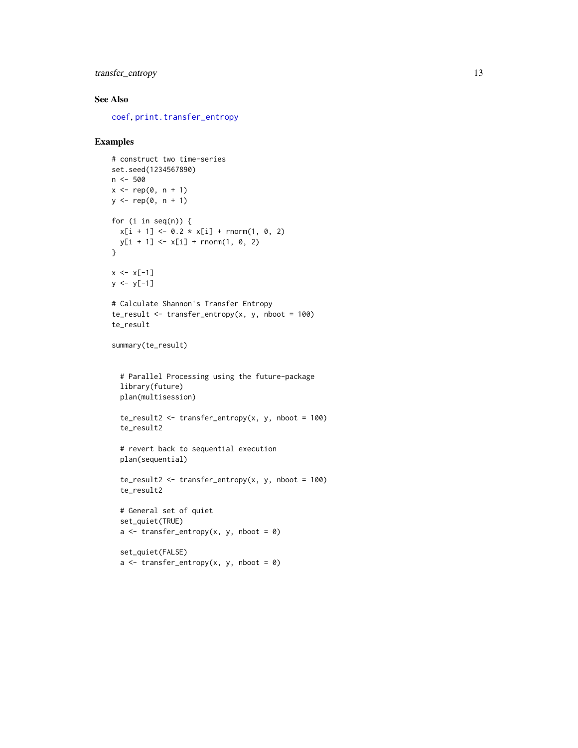#### <span id="page-12-0"></span>transfer\_entropy 13

#### See Also

[coef](#page-0-0), [print.transfer\\_entropy](#page-6-1)

```
# construct two time-series
set.seed(1234567890)
n <- 500
x \leftarrow rep(0, n + 1)y <- rep(0, n + 1)
for (i in seq(n)) {
  x[i + 1] < -0.2 \times x[i] + \text{norm}(1, 0, 2)y[i + 1] \leq x[i] + \text{norm}(1, 0, 2)}
x \le -x[-1]y \le y[-1]# Calculate Shannon's Transfer Entropy
te\_result \leq transfer\_entropy(x, y, nboot = 100)te_result
summary(te_result)
  # Parallel Processing using the future-package
  library(future)
  plan(multisession)
  te_result2 <- transfer_entropy(x, y, nboot = 100)
  te_result2
  # revert back to sequential execution
  plan(sequential)
  te\_result2 \leq trainfer\_entropy(x, y, nboot = 100)te_result2
  # General set of quiet
  set_quiet(TRUE)
  a \leftarrow \text{transfer\_entropy}(x, y, \text{nboot} = \emptyset)set_quiet(FALSE)
  a \leq t ransfer_entropy(x, y, nboot = 0)
```